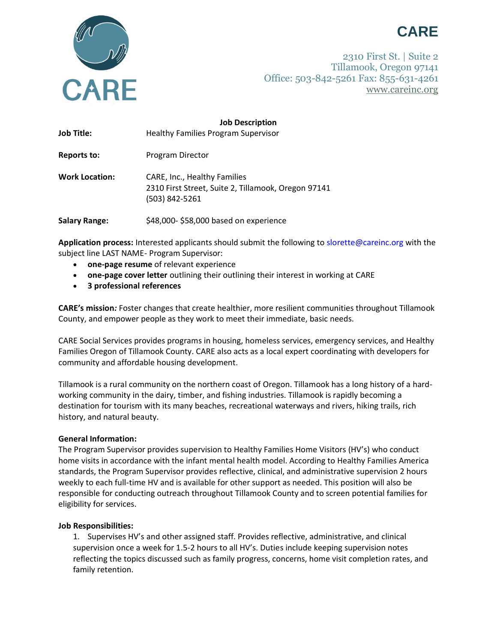



2310 First St. | Suite 2 Tillamook, Oregon 97141 Office: 503-842-5261 Fax: 855-631-4261 [www.careinc.org](http://www.careinc.org/)

| <b>Job Title:</b>     | <b>Job Description</b><br><b>Healthy Families Program Supervisor</b>                                  |
|-----------------------|-------------------------------------------------------------------------------------------------------|
| Reports to:           | Program Director                                                                                      |
| <b>Work Location:</b> | CARE, Inc., Healthy Families<br>2310 First Street, Suite 2, Tillamook, Oregon 97141<br>(503) 842-5261 |
| <b>Salary Range:</b>  | \$48,000-\$58,000 based on experience                                                                 |

**Application process:** Interested applicants should submit the following t[o slorette@careinc.org](mailto:slorette@careinc.org) with the subject line LAST NAME- Program Supervisor:

- **one-page resume** of relevant experience
- **one-page cover letter** outlining their outlining their interest in working at CARE
- **3 professional references**

**CARE's mission***:* Foster changes that create healthier, more resilient communities throughout Tillamook County, and empower people as they work to meet their immediate, basic needs.

CARE Social Services provides programs in housing, homeless services, emergency services, and Healthy Families Oregon of Tillamook County. CARE also acts as a local expert coordinating with developers for community and affordable housing development.

Tillamook is a rural community on the northern coast of Oregon. Tillamook has a long history of a hardworking community in the dairy, timber, and fishing industries. Tillamook is rapidly becoming a destination for tourism with its many beaches, recreational waterways and rivers, hiking trails, rich history, and natural beauty.

## **General Information:**

The Program Supervisor provides supervision to Healthy Families Home Visitors (HV's) who conduct home visits in accordance with the infant mental health model. According to Healthy Families America standards, the Program Supervisor provides reflective, clinical, and administrative supervision 2 hours weekly to each full-time HV and is available for other support as needed. This position will also be responsible for conducting outreach throughout Tillamook County and to screen potential families for eligibility for services.

## **Job Responsibilities:**

1. Supervises HV's and other assigned staff. Provides reflective, administrative, and clinical supervision once a week for 1.5-2 hours to all HV's. Duties include keeping supervision notes reflecting the topics discussed such as family progress, concerns, home visit completion rates, and family retention.